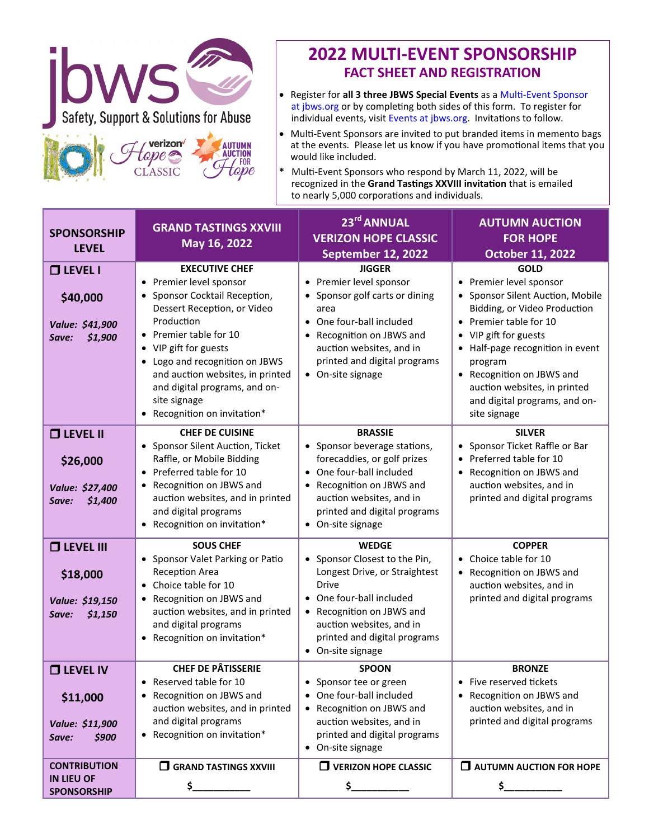

## **2022 MULTI-EVENT SPONSORSHIP FACT SHEET AND REGISTRATION**

- Register for **all 3 three JBWS Special Events** as a Multi-[Event Sponsor](https://jbws.org/event/jbws-multi-event-sponsorship-opportunities/)   [at jbws.org](https://jbws.org/event/jbws-multi-event-sponsorship-opportunities/) or by completing both sides of this form. To register for individual events, visit [Events at jbws.org.](https://jbws.org/news-events/#events) Invitations to follow.
- Multi-Event Sponsors are invited to put branded items in memento bags at the events*.* Please let us know if you have promotional items that you would like included.
- **\*** Multi-Event Sponsors who respond by March 11, 2022, will be recognized in the **Grand Tastings XXVIII invitation** that is emailed to nearly 5,000 corporations and individuals.

| <b>SPONSORSHIP</b><br><b>LEVEL</b>                                    | <b>GRAND TASTINGS XXVIII</b><br>May 16, 2022                                                                                                                                                                                                                                                                                                        | 23rd ANNUAL<br><b>VERIZON HOPE CLASSIC</b><br>September 12, 2022                                                                                                                                                                         | <b>AUTUMN AUCTION</b><br><b>FOR HOPE</b><br>October 11, 2022                                                                                                                                                                                                                                                               |
|-----------------------------------------------------------------------|-----------------------------------------------------------------------------------------------------------------------------------------------------------------------------------------------------------------------------------------------------------------------------------------------------------------------------------------------------|------------------------------------------------------------------------------------------------------------------------------------------------------------------------------------------------------------------------------------------|----------------------------------------------------------------------------------------------------------------------------------------------------------------------------------------------------------------------------------------------------------------------------------------------------------------------------|
| $\Box$ LEVEL I<br>\$40,000<br>Value: \$41,900<br>\$1,900<br>Save:     | <b>EXECUTIVE CHEF</b><br>• Premier level sponsor<br>Sponsor Cocktail Reception,<br>$\bullet$<br>Dessert Reception, or Video<br>Production<br>• Premier table for 10<br>• VIP gift for guests<br>• Logo and recognition on JBWS<br>and auction websites, in printed<br>and digital programs, and on-<br>site signage<br>• Recognition on invitation* | <b>JIGGER</b><br>• Premier level sponsor<br>• Sponsor golf carts or dining<br>area<br>• One four-ball included<br>• Recognition on JBWS and<br>auction websites, and in<br>printed and digital programs<br>• On-site signage             | <b>GOLD</b><br>• Premier level sponsor<br>• Sponsor Silent Auction, Mobile<br>Bidding, or Video Production<br>• Premier table for 10<br>• VIP gift for guests<br>• Half-page recognition in event<br>program<br>• Recognition on JBWS and<br>auction websites, in printed<br>and digital programs, and on-<br>site signage |
| $\Box$ LEVEL II<br>\$26,000<br>Value: \$27,400<br>\$1,400<br>Save:    | <b>CHEF DE CUISINE</b><br>Sponsor Silent Auction, Ticket<br>$\bullet$<br>Raffle, or Mobile Bidding<br>• Preferred table for 10<br>Recognition on JBWS and<br>$\bullet$<br>auction websites, and in printed<br>and digital programs<br>• Recognition on invitation*                                                                                  | <b>BRASSIE</b><br>• Sponsor beverage stations,<br>forecaddies, or golf prizes<br>• One four-ball included<br>Recognition on JBWS and<br>auction websites, and in<br>printed and digital programs<br>• On-site signage                    | <b>SILVER</b><br>Sponsor Ticket Raffle or Bar<br>Preferred table for 10<br>Recognition on JBWS and<br>auction websites, and in<br>printed and digital programs                                                                                                                                                             |
| <b>O LEVEL III</b><br>\$18,000<br>Value: \$19,150<br>\$1,150<br>Save: | <b>SOUS CHEF</b><br>• Sponsor Valet Parking or Patio<br>Reception Area<br>Choice table for 10<br>Recognition on JBWS and<br>$\bullet$<br>auction websites, and in printed<br>and digital programs<br>• Recognition on invitation*                                                                                                                   | <b>WEDGE</b><br>• Sponsor Closest to the Pin,<br>Longest Drive, or Straightest<br><b>Drive</b><br>• One four-ball included<br>• Recognition on JBWS and<br>auction websites, and in<br>printed and digital programs<br>• On-site signage | <b>COPPER</b><br>• Choice table for 10<br>• Recognition on JBWS and<br>auction websites, and in<br>printed and digital programs                                                                                                                                                                                            |
| <b>O LEVEL IV</b><br>\$11,000<br>Value: \$11,900<br>\$900<br>Save:    | <b>CHEF DE PÂTISSERIE</b><br>• Reserved table for 10<br>• Recognition on JBWS and<br>auction websites, and in printed<br>and digital programs<br>Recognition on invitation*                                                                                                                                                                         | <b>SPOON</b><br>• Sponsor tee or green<br>• One four-ball included<br>• Recognition on JBWS and<br>auction websites, and in<br>printed and digital programs<br>• On-site signage                                                         | <b>BRONZE</b><br>• Five reserved tickets<br>• Recognition on JBWS and<br>auction websites, and in<br>printed and digital programs                                                                                                                                                                                          |
| <b>CONTRIBUTION</b><br><b>IN LIEU OF</b><br><b>SPONSORSHIP</b>        | $\Box$ GRAND TASTINGS XXVIII<br>\$__                                                                                                                                                                                                                                                                                                                | $\Box$ VERIZON HOPE CLASSIC<br>$\mathsf{s}_-$                                                                                                                                                                                            | $\Box$ AUTUMN AUCTION FOR HOPE<br>$\mathsf{s}_-$                                                                                                                                                                                                                                                                           |